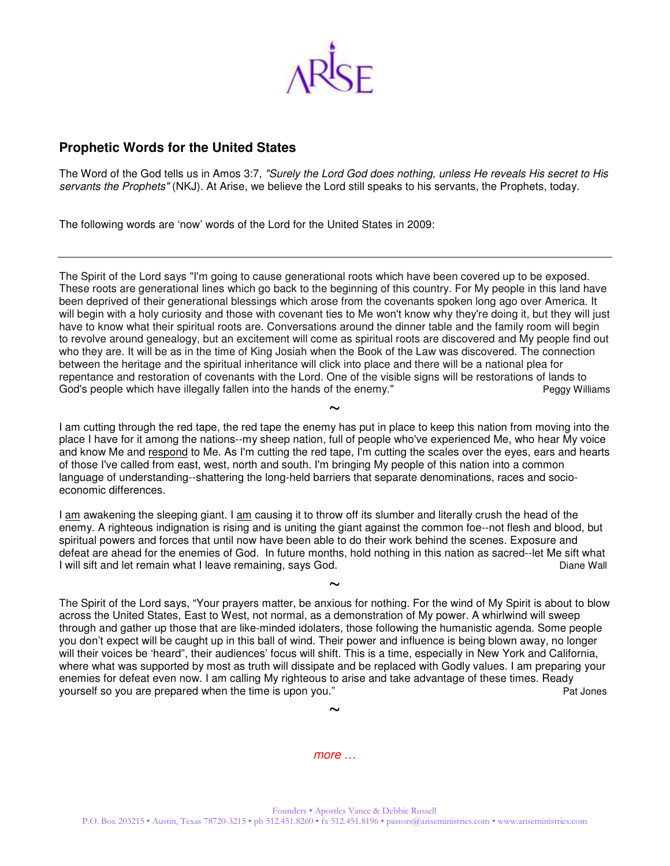

## **Prophetic Words for the United States**

The Word of the God tells us in Amos 3:7, "Surely the Lord God does nothing, unless He reveals His secret to His servants the Prophets" (NKJ). At Arise, we believe the Lord still speaks to his servants, the Prophets, today.

The following words are 'now' words of the Lord for the United States in 2009:

The Spirit of the Lord says "I'm going to cause generational roots which have been covered up to be exposed. These roots are generational lines which go back to the beginning of this country. For My people in this land have been deprived of their generational blessings which arose from the covenants spoken long ago over America. It will begin with a holy curiosity and those with covenant ties to Me won't know why they're doing it, but they will just have to know what their spiritual roots are. Conversations around the dinner table and the family room will begin to revolve around genealogy, but an excitement will come as spiritual roots are discovered and My people find out who they are. It will be as in the time of King Josiah when the Book of the Law was discovered. The connection between the heritage and the spiritual inheritance will click into place and there will be a national plea for repentance and restoration of covenants with the Lord. One of the visible signs will be restorations of lands to God's people which have illegally fallen into the hands of the enemy." The energy Peggy Williams

 $\sim$ I am cutting through the red tape, the red tape the enemy has put in place to keep this nation from moving into the place I have for it among the nations--my sheep nation, full of people who've experienced Me, who hear My voice and know Me and respond to Me. As I'm cutting the red tape, I'm cutting the scales over the eyes, ears and hearts of those I've called from east, west, north and south. I'm bringing My people of this nation into a common language of understanding--shattering the long-held barriers that separate denominations, races and socioeconomic differences.

I am awakening the sleeping giant. I am causing it to throw off its slumber and literally crush the head of the enemy. A righteous indignation is rising and is uniting the giant against the common foe--not flesh and blood, but spiritual powers and forces that until now have been able to do their work behind the scenes. Exposure and defeat are ahead for the enemies of God. In future months, hold nothing in this nation as sacred--let Me sift what I will sift and let remain what I leave remaining, says God. Diane Wall

 $\sim$ 

The Spirit of the Lord says, "Your prayers matter, be anxious for nothing. For the wind of My Spirit is about to blow across the United States, East to West, not normal, as a demonstration of My power. A whirlwind will sweep through and gather up those that are like-minded idolaters, those following the humanistic agenda. Some people you don't expect will be caught up in this ball of wind. Their power and influence is being blown away, no longer will their voices be 'heard", their audiences' focus will shift. This is a time, especially in New York and California, where what was supported by most as truth will dissipate and be replaced with Godly values. I am preparing your enemies for defeat even now. I am calling My righteous to arise and take advantage of these times. Ready<br>Pat lones yourself so you are prepared when the time is upon you."

more …

 $\sim$